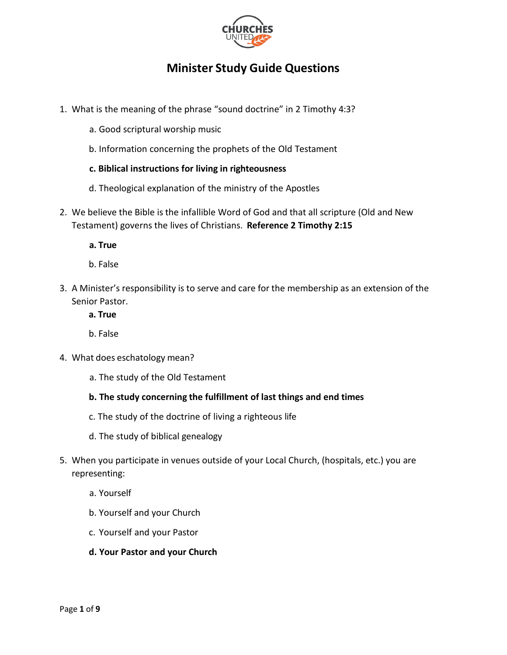

# **Minister Study Guide Questions**

- 1. What is the meaning of the phrase "sound doctrine" in 2 Timothy 4:3?
	- a. Good scriptural worship music
	- b. Information concerning the prophets of the Old Testament
	- **c. Biblical instructions for living in righteousness**
	- d. Theological explanation of the ministry of the Apostles
- 2. We believe the Bible is the infallible Word of God and that all scripture (Old and New Testament) governs the lives of Christians. **Reference 2 Timothy 2:15**
	- **a. True**
	- b. False
- 3. A Minister's responsibility is to serve and care for the membership as an extension of the Senior Pastor.
	- **a. True**
	- b. False
- 4. What does eschatology mean?
	- a. The study of the Old Testament
	- **b. The study concerning the fulfillment of last things and end times**
	- c. The study of the doctrine of living a righteous life
	- d. The study of biblical genealogy
- 5. When you participate in venues outside of your Local Church, (hospitals, etc.) you are representing:
	- a. Yourself
	- b. Yourself and your Church
	- c. Yourself and your Pastor
	- **d. Your Pastor and your Church**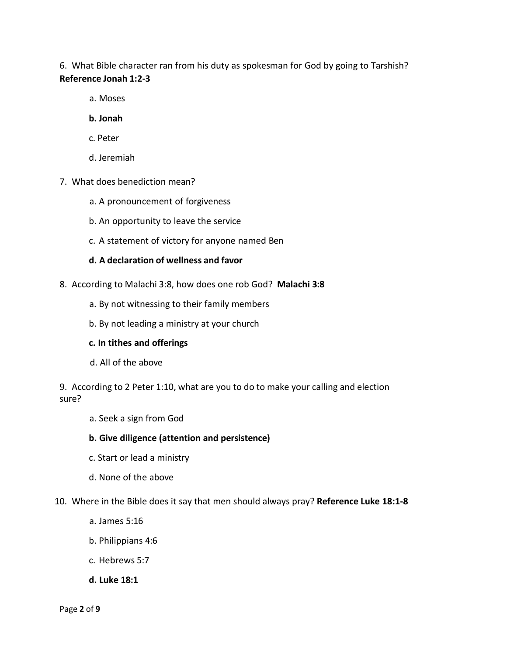6. What Bible character ran from his duty as spokesman for God by going to Tarshish? **Reference Jonah 1:2-3**

- a. Moses
- **b. Jonah**
- c. Peter
- d. Jeremiah
- 7. What does benediction mean?
	- a. A pronouncement of forgiveness
	- b. An opportunity to leave the service
	- c. A statement of victory for anyone named Ben

## **d. A declaration of wellness and favor**

- 8. According to Malachi 3:8, how does one rob God? **Malachi 3:8**
	- a. By not witnessing to their family members
	- b. By not leading a ministry at your church

## **c. In tithes and offerings**

d. All of the above

9. According to 2 Peter 1:10, what are you to do to make your calling and election sure?

- a. Seek a sign from God
- **b. Give diligence (attention and persistence)**
- c. Start or lead a ministry
- d. None of the above
- 10. Where in the Bible does it say that men should always pray? **Reference Luke 18:1-8**
	- a. James 5:16
	- b. Philippians 4:6
	- c. Hebrews 5:7
	- **d. Luke 18:1**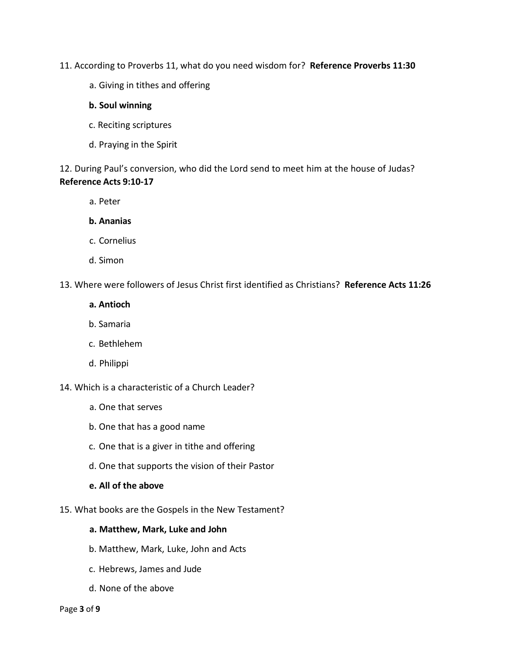- 11. According to Proverbs 11, what do you need wisdom for? **Reference Proverbs 11:30**
	- a. Giving in tithes and offering

#### **b. Soul winning**

- c. Reciting scriptures
- d. Praying in the Spirit

12. During Paul's conversion, who did the Lord send to meet him at the house of Judas? **Reference Acts 9:10-17**

a. Peter

#### **b. Ananias**

- c. Cornelius
- d. Simon

### 13. Where were followers of Jesus Christ first identified as Christians? **Reference Acts 11:26**

#### **a. Antioch**

- b. Samaria
- c. Bethlehem
- d. Philippi

14. Which is a characteristic of a Church Leader?

- a. One that serves
- b. One that has a good name
- c. One that is a giver in tithe and offering
- d. One that supports the vision of their Pastor

#### **e. All of the above**

15. What books are the Gospels in the New Testament?

## **a. Matthew, Mark, Luke and John**

- b. Matthew, Mark, Luke, John and Acts
- c. Hebrews, James and Jude
- d. None of the above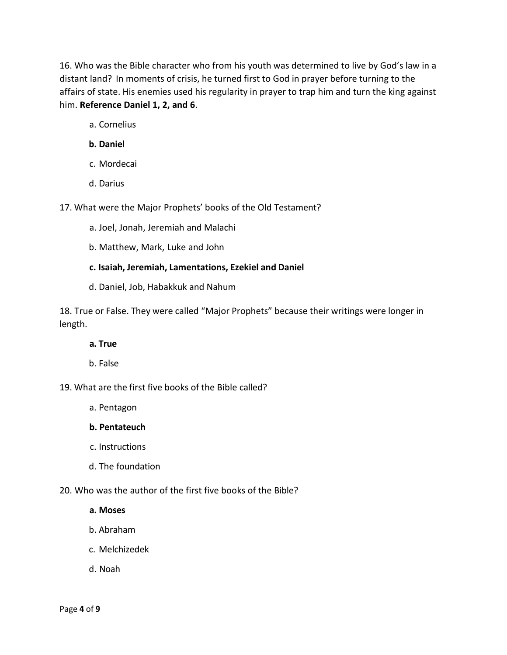16. Who was the Bible character who from his youth was determined to live by God's law in a distant land? In moments of crisis, he turned first to God in prayer before turning to the affairs of state. His enemies used his regularity in prayer to trap him and turn the king against him. **Reference Daniel 1, 2, and 6**.

- a. Cornelius
- **b. Daniel**
- c. Mordecai
- d. Darius

17. What were the Major Prophets' books of the Old Testament?

- a. Joel, Jonah, Jeremiah and Malachi
- b. Matthew, Mark, Luke and John

## **c. Isaiah, Jeremiah, Lamentations, Ezekiel and Daniel**

d. Daniel, Job, Habakkuk and Nahum

18. True or False. They were called "Major Prophets" because their writings were longer in length.

#### **a. True**

b. False

## 19. What are the first five books of the Bible called?

a. Pentagon

## **b. Pentateuch**

- c. Instructions
- d. The foundation

## 20. Who was the author of the first five books of the Bible?

**a. Moses**

- b. Abraham
- c. Melchizedek
- d. Noah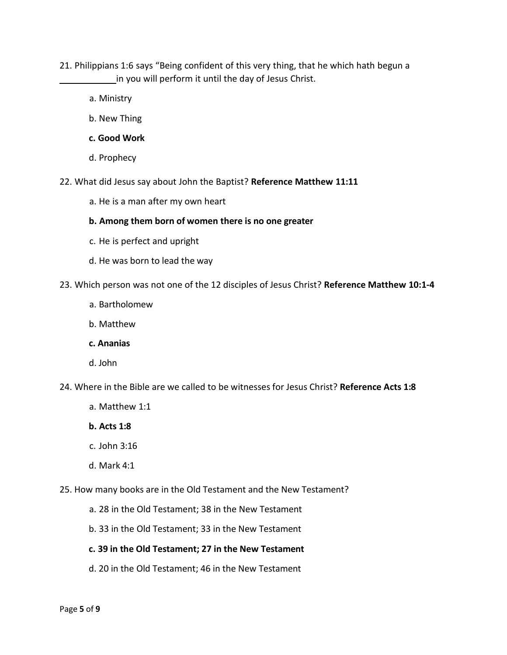- 21. Philippians 1:6 says "Being confident of this very thing, that he which hath begun a in you will perform it until the day of Jesus Christ.
	- a. Ministry
	- b. New Thing
	- **c. Good Work**
	- d. Prophecy
- 22. What did Jesus say about John the Baptist? **Reference Matthew 11:11**
	- a. He is a man after my own heart
	- **b. Among them born of women there is no one greater**
	- c. He is perfect and upright
	- d. He was born to lead the way
- 23. Which person was not one of the 12 disciples of Jesus Christ? **Reference Matthew 10:1-4** 
	- a. Bartholomew
	- b. Matthew
	- **c. Ananias**
	- d. John
- 24. Where in the Bible are we called to be witnesses for Jesus Christ? **Reference Acts 1:8**
	- a. Matthew 1:1
	- **b. Acts 1:8**
	- c. John 3:16
	- d. Mark 4:1
- 25. How many books are in the Old Testament and the New Testament?
	- a. 28 in the Old Testament; 38 in the New Testament
	- b. 33 in the Old Testament; 33 in the New Testament

## **c. 39 in the Old Testament; 27 in the New Testament**

d. 20 in the Old Testament; 46 in the New Testament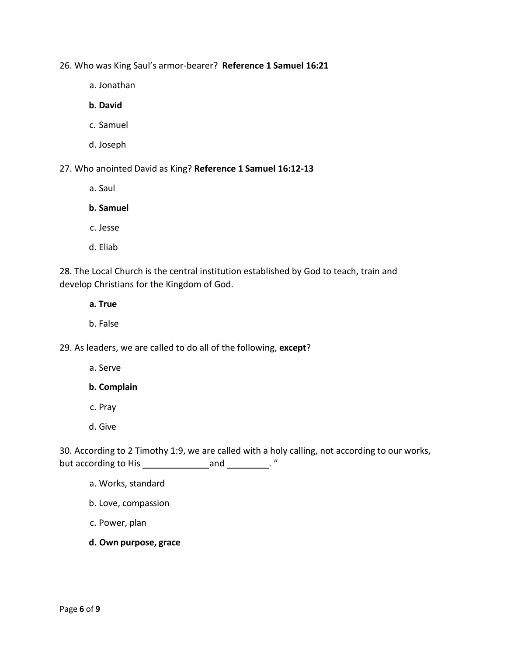26. Who was King Saul's armor-bearer? **Reference 1 Samuel 16:21**

a. Jonathan

**b. David**

- c. Samuel
- d. Joseph

27. Who anointed David as King? **Reference 1 Samuel 16:12-13**

a. Saul

# **b. Samuel**

- c. Jesse
- d. Eliab

28. The Local Church is the central institution established by God to teach, train and develop Christians for the Kingdom of God.

**a. True**

b. False

29. As leaders, we are called to do all of the following, **except**?

a. Serve

**b. Complain**

- c. Pray
- d. Give

30. According to 2 Timothy 1:9, we are called with a holy calling, not according to our works, but according to His \_\_\_\_\_\_\_\_\_\_\_\_\_\_\_\_\_\_\_\_\_\_\_\_\_\_\_\_\_\_\_\_. "

- a. Works, standard
- b. Love, compassion
- c. Power, plan
- **d. Own purpose, grace**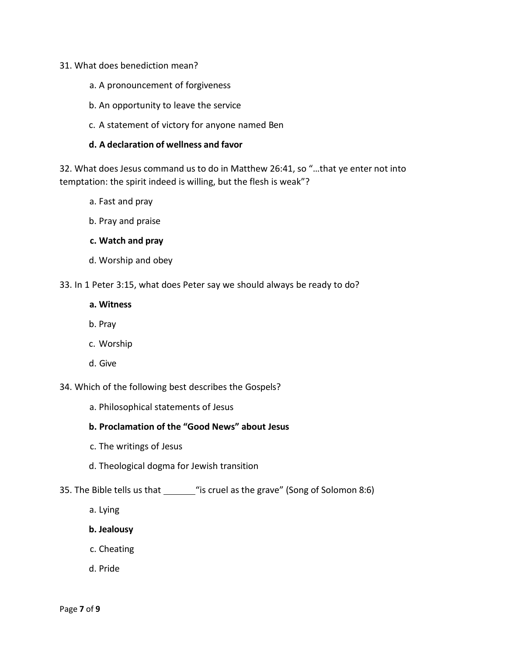#### 31. What does benediction mean?

- a. A pronouncement of forgiveness
- b. An opportunity to leave the service
- c. A statement of victory for anyone named Ben

#### **d. A declaration of wellness and favor**

32. What does Jesus command us to do in Matthew 26:41, so "…that ye enter not into temptation: the spirit indeed is willing, but the flesh is weak"?

- a. Fast and pray
- b. Pray and praise

#### **c. Watch and pray**

d. Worship and obey

33. In 1 Peter 3:15, what does Peter say we should always be ready to do?

#### **a. Witness**

- b. Pray
- c. Worship
- d. Give

34. Which of the following best describes the Gospels?

a. Philosophical statements of Jesus

# **b. Proclamation of the "Good News" about Jesus**

- c. The writings of Jesus
- d. Theological dogma for Jewish transition
- 35. The Bible tells us that \_\_\_\_\_\_\_\_ "is cruel as the grave" (Song of Solomon 8:6)
	- a. Lying
	- **b. Jealousy**
	- c. Cheating
	- d. Pride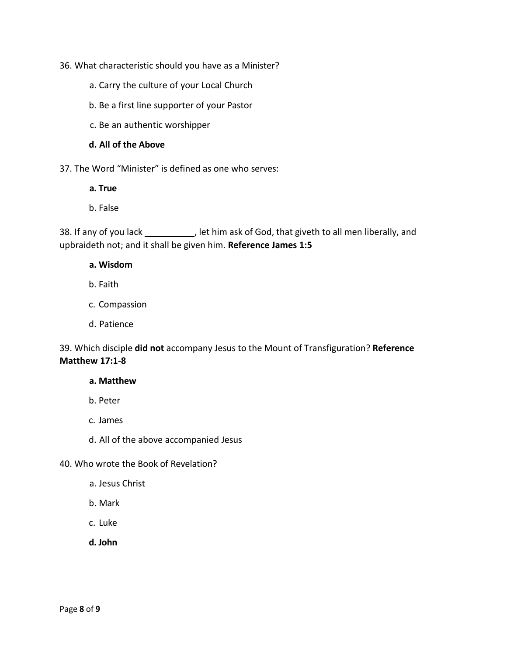## 36. What characteristic should you have as a Minister?

- a. Carry the culture of your Local Church
- b. Be a first line supporter of your Pastor
- c. Be an authentic worshipper

### **d. All of the Above**

37. The Word "Minister" is defined as one who serves:

**a. True**

b. False

38. If any of you lack , let him ask of God, that giveth to all men liberally, and upbraideth not; and it shall be given him. **Reference James 1:5**

- **a. Wisdom**
- b. Faith
- c. Compassion
- d. Patience

# 39. Which disciple **did not** accompany Jesus to the Mount of Transfiguration? **Reference Matthew 17:1-8**

#### **a. Matthew**

- b. Peter
- c. James
- d. All of the above accompanied Jesus
- 40. Who wrote the Book of Revelation?
	- a. Jesus Christ
	- b. Mark
	- c. Luke
	- **d. John**